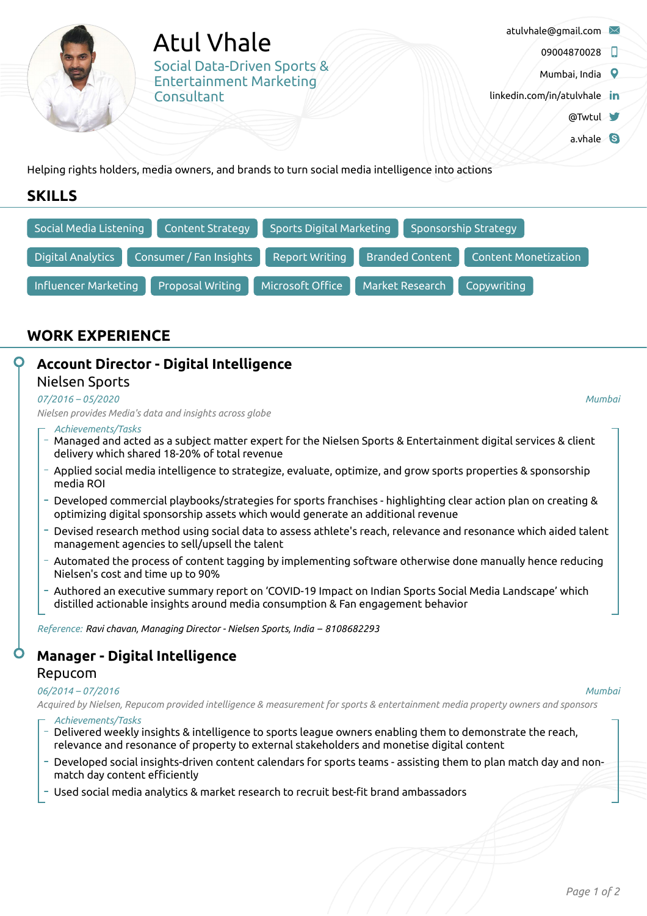Atul Vhale Social Data-Driven Sports & Entertainment Marketing **Consultant** 

- [atulvhale@gmail.com](mailto:atulvhale@gmail.com)
	- 09004870028
	- Mumbai, India 9
- [linkedin.com/in/atulvhale](https://www.linkedin.com/in/atulvhale) in
	- [@Twtul](https://twitter.com/Twtul)
	- a.vhale 8

Helping rights holders, media owners, and brands to turn social media intelligence into actions

# **SKILLS**



# **WORK EXPERIENCE**

# **Account Director - Digital Intelligence**

### Nielsen Sports

### *07/2016 – 05/2020*

*Nielsen provides Media's data and insights across globe*

### *Achievements/Tasks*

- Managed and acted as a subject matter expert for the Nielsen Sports & Entertainment digital services & client delivery which shared 18-20% of total revenue
- Applied social media intelligence to strategize, evaluate, optimize, and grow sports properties & sponsorship media ROI
- Developed commercial playbooks/strategies for sports franchises highlighting clear action plan on creating & optimizing digital sponsorship assets which would generate an additional revenue
- Devised research method using social data to assess athlete's reach, relevance and resonance which aided talent management agencies to sell/upsell the talent
- Automated the process of content tagging by implementing software otherwise done manually hence reducing Nielsen's cost and time up to 90%
- Authored an executive summary report on 'COVID-19 Impact on Indian Sports Social Media Landscape' which distilled actionable insights around media consumption & Fan engagement behavior

*Reference: Ravi chavan, Managing Director - Nielsen Sports, India – 8108682293*

# **Manager - Digital Intelligence**

## Repucom

### *06/2014 – 07/2016*

#### *Mumbai*

*Mumbai*

Acquired by Nielsen, Repucom provided intelligence & measurement for sports & entertainment media property owners and sponsors *Achievements/Tasks*

- $-$  Delivered weekly insights & intelligence to sports league owners enabling them to demonstrate the reach, relevance and resonance of property to external stakeholders and monetise digital content
- Developed social insights-driven content calendars for sports teams assisting them to plan match day and non match day content efficiently
- Used social media analytics & market research to recruit best-fit brand ambassadors